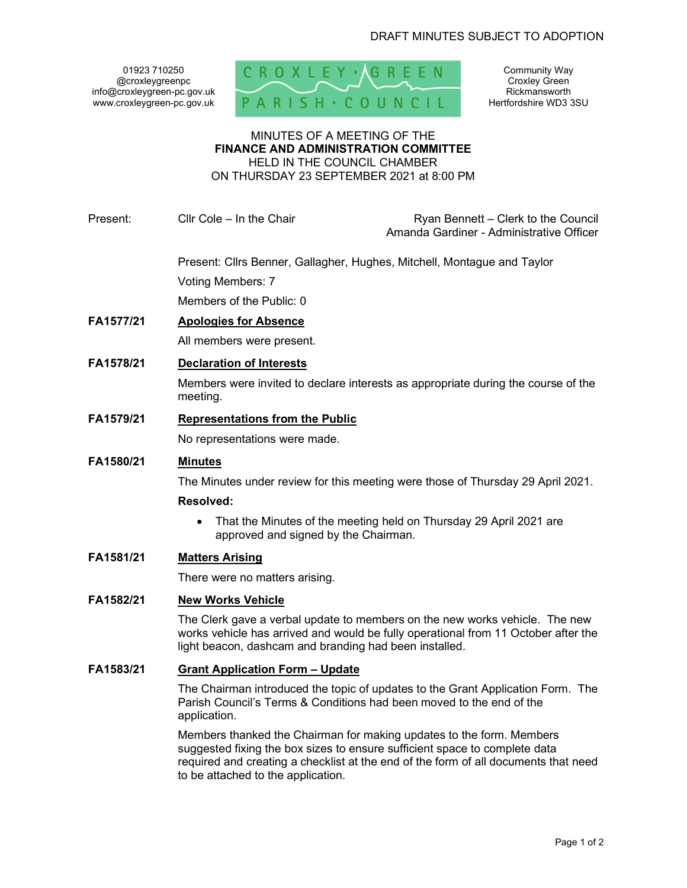@croxleygreenpc info@croxleygreen-pc.gov.uk



Community Way Croxley Green Rickmansworth Hertfordshire WD3 3SU

#### MINUTES OF A MEETING OF THE FINANCE AND ADMINISTRATION COMMITTEE HELD IN THE COUNCIL CHAMBER

ON THURSDAY 23 SEPTEMBER 2021 at 8:00 PM

Present: Cllr Cole – In the Chair **Ryan Bennett** – Clerk to the Council

Amanda Gardiner - Administrative Officer

Present: Cllrs Benner, Gallagher, Hughes, Mitchell, Montague and Taylor

Voting Members: 7

Members of the Public: 0

FA1577/21 Apologies for Absence

All members were present.

FA1578/21 Declaration of Interests

Members were invited to declare interests as appropriate during the course of the meeting.

FA1579/21 Representations from the Public

No representations were made.

# FA1580/21 Minutes

The Minutes under review for this meeting were those of Thursday 29 April 2021.

# Resolved:

• That the Minutes of the meeting held on Thursday 29 April 2021 are approved and signed by the Chairman.

# FA1581/21 Matters Arising

There were no matters arising.

# FA1582/21 New Works Vehicle

The Clerk gave a verbal update to members on the new works vehicle. The new works vehicle has arrived and would be fully operational from 11 October after the light beacon, dashcam and branding had been installed.

# FA1583/21 Grant Application Form – Update

The Chairman introduced the topic of updates to the Grant Application Form. The Parish Council's Terms & Conditions had been moved to the end of the application.

Members thanked the Chairman for making updates to the form. Members suggested fixing the box sizes to ensure sufficient space to complete data required and creating a checklist at the end of the form of all documents that need to be attached to the application.